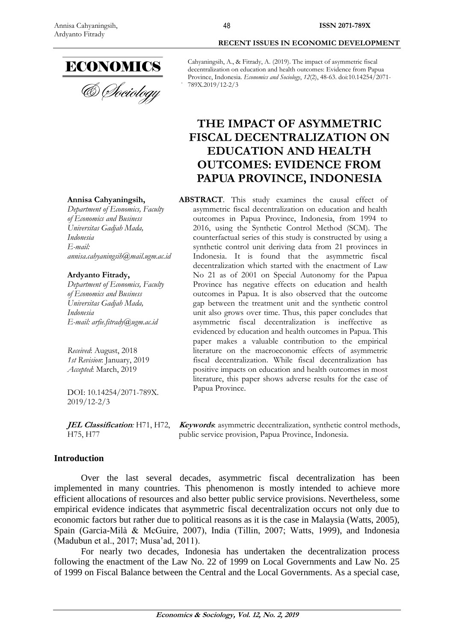

**Annisa Cahyaningsih,** *Department of Economics, Faculty of Economics and Business Universitas Gadjah Mada,* 

**Ardyanto Fitrady,**

*annisa.cahyaningsih@mail.ugm.ac.id*

*Department of Economics, Faculty of Economics and Business Universitas Gadjah Mada,* 

*E-mail: arfie.fitrady@ugm.ac.id*

DOI: 10.14254/2071-789X.

*Received*: August, 2018 *1st Revision*: January, 2019 *Accepted*: March, 2019

*Indonesia E-mail:* 

*Indonesia*

& *Choiology* 

# **RECENT ISSUES IN ECONOMIC DEVELOPMENT**

**ISSN 2071-789X**

Cahyaningsih, A., & Fitrady, A. (2019). The impact of asymmetric fiscal decentralization on education and health outcomes: Evidence from Papua Province, Indonesia. *Economics and Sociology*, *12*(2), 48-63. doi:10.14254/2071- 789X.2019/12-2/3

# **THE IMPACT OF ASYMMETRIC FISCAL DECENTRALIZATION ON EDUCATION AND HEALTH OUTCOMES: EVIDENCE FROM PAPUA PROVINCE, INDONESIA**

**ABSTRACT**. This study examines the causal effect of asymmetric fiscal decentralization on education and health outcomes in Papua Province, Indonesia, from 1994 to 2016, using the Synthetic Control Method (SCM). The counterfactual series of this study is constructed by using a synthetic control unit deriving data from 21 provinces in Indonesia. It is found that the asymmetric fiscal decentralization which started with the enactment of Law No 21 as of 2001 on Special Autonomy for the Papua Province has negative effects on education and health outcomes in Papua. It is also observed that the outcome gap between the treatment unit and the synthetic control unit also grows over time. Thus, this paper concludes that asymmetric fiscal decentralization is ineffective as evidenced by education and health outcomes in Papua. This paper makes a valuable contribution to the empirical literature on the macroeconomic effects of asymmetric fiscal decentralization. While fiscal decentralization has positive impacts on education and health outcomes in most literature, this paper shows adverse results for the case of Papua Province.

**JEL Classification***:* H71, H72, H75, H77

**Keywords**: asymmetric decentralization, synthetic control methods, public service provision, Papua Province, Indonesia.

# **Introduction**

2019/12-2/3

Over the last several decades, asymmetric fiscal decentralization has been implemented in many countries. This phenomenon is mostly intended to achieve more efficient allocations of resources and also better public service provisions. Nevertheless, some empirical evidence indicates that asymmetric fiscal decentralization occurs not only due to economic factors but rather due to political reasons as it is the case in Malaysia (Watts, 2005), Spain (Garcia-Milà & McGuire, 2007), India (Tillin, 2007; Watts, 1999), and Indonesia (Madubun et al., 2017; Musa'ad, 2011).

For nearly two decades, Indonesia has undertaken the decentralization process following the enactment of the Law No. 22 of 1999 on Local Governments and Law No. 25 of 1999 on Fiscal Balance between the Central and the Local Governments. As a special case,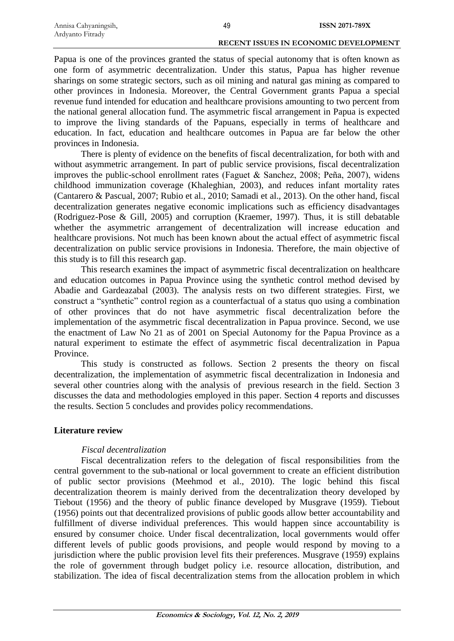Papua is one of the provinces granted the status of special autonomy that is often known as one form of asymmetric decentralization. Under this status, Papua has higher revenue sharings on some strategic sectors, such as oil mining and natural gas mining as compared to other provinces in Indonesia. Moreover, the Central Government grants Papua a special revenue fund intended for education and healthcare provisions amounting to two percent from the national general allocation fund. The asymmetric fiscal arrangement in Papua is expected to improve the living standards of the Papuans, especially in terms of healthcare and education. In fact, education and healthcare outcomes in Papua are far below the other provinces in Indonesia.

There is plenty of evidence on the benefits of fiscal decentralization, for both with and without asymmetric arrangement. In part of public service provisions, fiscal decentralization improves the public-school enrollment rates (Faguet & Sanchez, 2008; Peña, 2007), widens childhood immunization coverage (Khaleghian, 2003), and reduces infant mortality rates (Cantarero & Pascual, 2007; Rubio et al., 2010; Samadi et al., 2013). On the other hand, fiscal decentralization generates negative economic implications such as efficiency disadvantages (Rodriguez-Pose & Gill, 2005) and corruption (Kraemer, 1997). Thus, it is still debatable whether the asymmetric arrangement of decentralization will increase education and healthcare provisions. Not much has been known about the actual effect of asymmetric fiscal decentralization on public service provisions in Indonesia. Therefore, the main objective of this study is to fill this research gap.

This research examines the impact of asymmetric fiscal decentralization on healthcare and education outcomes in Papua Province using the synthetic control method devised by Abadie and Gardeazabal (2003). The analysis rests on two different strategies. First, we construct a "synthetic" control region as a counterfactual of a status quo using a combination of other provinces that do not have asymmetric fiscal decentralization before the implementation of the asymmetric fiscal decentralization in Papua province. Second, we use the enactment of Law No 21 as of 2001 on Special Autonomy for the Papua Province as a natural experiment to estimate the effect of asymmetric fiscal decentralization in Papua Province.

This study is constructed as follows. Section 2 presents the theory on fiscal decentralization, the implementation of asymmetric fiscal decentralization in Indonesia and several other countries along with the analysis of previous research in the field. Section 3 discusses the data and methodologies employed in this paper. Section 4 reports and discusses the results. Section 5 concludes and provides policy recommendations.

# **Literature review**

# *Fiscal decentralization*

Fiscal decentralization refers to the delegation of fiscal responsibilities from the central government to the sub-national or local government to create an efficient distribution of public sector provisions (Meehmod et al., 2010). The logic behind this fiscal decentralization theorem is mainly derived from the decentralization theory developed by Tiebout (1956) and the theory of public finance developed by Musgrave (1959). Tiebout (1956) points out that decentralized provisions of public goods allow better accountability and fulfillment of diverse individual preferences. This would happen since accountability is ensured by consumer choice. Under fiscal decentralization, local governments would offer different levels of public goods provisions, and people would respond by moving to a jurisdiction where the public provision level fits their preferences. Musgrave (1959) explains the role of government through budget policy i.e. resource allocation, distribution, and stabilization. The idea of fiscal decentralization stems from the allocation problem in which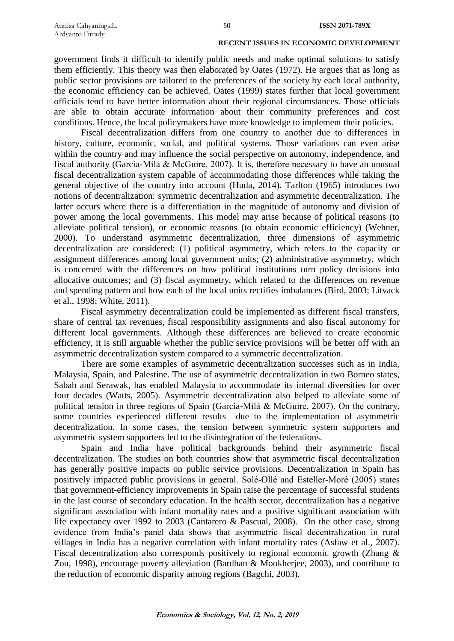government finds it difficult to identify public needs and make optimal solutions to satisfy them efficiently. This theory was then elaborated by Oates (1972). He argues that as long as public sector provisions are tailored to the preferences of the society by each local authority, the economic efficiency can be achieved. Oates (1999) states further that local government officials tend to have better information about their regional circumstances. Those officials are able to obtain accurate information about their community preferences and cost conditions. Hence, the local policymakers have more knowledge to implement their policies.

Fiscal decentralization differs from one country to another due to differences in history, culture, economic, social, and political systems. Those variations can even arise within the country and may influence the social perspective on autonomy, independence, and fiscal authority (Garcia-Milà & McGuire, 2007). It is, therefore necessary to have an unusual fiscal decentralization system capable of accommodating those differences while taking the general objective of the country into account (Huda, 2014). Tarlton (1965) introduces two notions of decentralization: symmetric decentralization and asymmetric decentralization. The latter occurs where there is a differentiation in the magnitude of autonomy and division of power among the local governments. This model may arise because of political reasons (to alleviate political tension), or economic reasons (to obtain economic efficiency) (Wehner, 2000). To understand asymmetric decentralization, three dimensions of asymmetric decentralization are considered: (1) political asymmetry, which refers to the capacity or assignment differences among local government units; (2) administrative asymmetry, which is concerned with the differences on how political institutions turn policy decisions into allocative outcomes; and (3) fiscal asymmetry, which related to the differences on revenue and spending pattern and how each of the local units rectifies imbalances (Bird, 2003; Litvack et al., 1998; White, 2011).

Fiscal asymmetry decentralization could be implemented as different fiscal transfers, share of central tax revenues, fiscal responsibility assignments and also fiscal autonomy for different local governments. Although these differences are believed to create economic efficiency, it is still arguable whether the public service provisions will be better off with an asymmetric decentralization system compared to a symmetric decentralization.

There are some examples of asymmetric decentralization successes such as in India, Malaysia, Spain, and Palestine. The use of asymmetric decentralization in two Borneo states, Sabah and Serawak, has enabled Malaysia to accommodate its internal diversities for over four decades (Watts, 2005). Asymmetric decentralization also helped to alleviate some of political tension in three regions of Spain (Garcia-Milà & McGuire, 2007). On the contrary, some countries experienced different results due to the implementation of asymmetric decentralization. In some cases, the tension between symmetric system supporters and asymmetric system supporters led to the disintegration of the federations.

Spain and India have political backgrounds behind their asymmetric fiscal decentralization. The studies on both countries show that asymmetric fiscal decentralization has generally positive impacts on public service provisions. Decentralization in Spain has positively impacted public provisions in general. Solé-Ollé and Esteller-Moré (2005) states that government-efficiency improvements in Spain raise the percentage of successful students in the last course of secondary education. In the health sector, decentralization has a negative significant association with infant mortality rates and a positive significant association with life expectancy over 1992 to 2003 (Cantarero & Pascual, 2008). On the other case, strong evidence from India's panel data shows that asymmetric fiscal decentralization in rural villages in India has a negative correlation with infant mortality rates (Asfaw et al., 2007). Fiscal decentralization also corresponds positively to regional economic growth (Zhang & Zou, 1998), encourage poverty alleviation (Bardhan & Mookherjee, 2003), and contribute to the reduction of economic disparity among regions (Bagchi, 2003).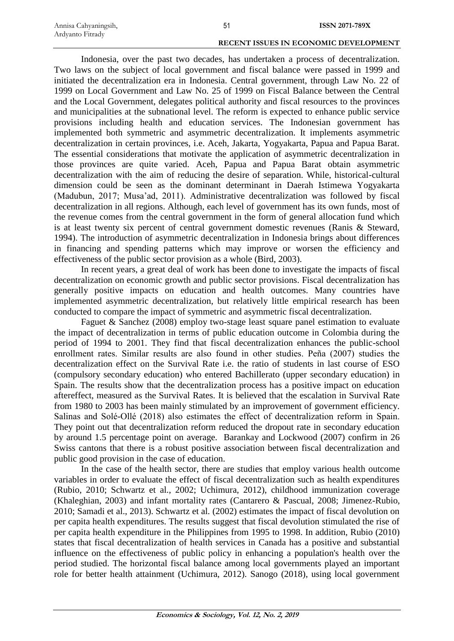Indonesia, over the past two decades, has undertaken a process of decentralization. Two laws on the subject of local government and fiscal balance were passed in 1999 and initiated the decentralization era in Indonesia. Central government, through Law No. 22 of 1999 on Local Government and Law No. 25 of 1999 on Fiscal Balance between the Central and the Local Government, delegates political authority and fiscal resources to the provinces and municipalities at the subnational level. The reform is expected to enhance public service provisions including health and education services. The Indonesian government has implemented both symmetric and asymmetric decentralization. It implements asymmetric decentralization in certain provinces, i.e. Aceh, Jakarta, Yogyakarta, Papua and Papua Barat. The essential considerations that motivate the application of asymmetric decentralization in those provinces are quite varied. Aceh, Papua and Papua Barat obtain asymmetric decentralization with the aim of reducing the desire of separation. While, historical-cultural dimension could be seen as the dominant determinant in Daerah Istimewa Yogyakarta (Madubun, 2017; Musa'ad, 2011). Administrative decentralization was followed by fiscal decentralization in all regions. Although, each level of government has its own funds, most of the revenue comes from the central government in the form of general allocation fund which is at least twenty six percent of central government domestic revenues (Ranis & Steward, 1994). The introduction of asymmetric decentralization in Indonesia brings about differences in financing and spending patterns which may improve or worsen the efficiency and effectiveness of the public sector provision as a whole (Bird, 2003).

In recent years, a great deal of work has been done to investigate the impacts of fiscal decentralization on economic growth and public sector provisions. Fiscal decentralization has generally positive impacts on education and health outcomes. Many countries have implemented asymmetric decentralization, but relatively little empirical research has been conducted to compare the impact of symmetric and asymmetric fiscal decentralization.

Faguet  $\&$  Sanchez (2008) employ two-stage least square panel estimation to evaluate the impact of decentralization in terms of public education outcome in Colombia during the period of 1994 to 2001. They find that fiscal decentralization enhances the public-school enrollment rates. Similar results are also found in other studies. Peña (2007) studies the decentralization effect on the Survival Rate i.e. the ratio of students in last course of ESO (compulsory secondary education) who entered Bachillerato (upper secondary education) in Spain. The results show that the decentralization process has a positive impact on education aftereffect, measured as the Survival Rates. It is believed that the escalation in Survival Rate from 1980 to 2003 has been mainly stimulated by an improvement of government efficiency. Salinas and Solé-Ollé (2018) also estimates the effect of decentralization reform in Spain. They point out that decentralization reform reduced the dropout rate in secondary education by around 1.5 percentage point on average. Barankay and Lockwood (2007) confirm in 26 Swiss cantons that there is a robust positive association between fiscal decentralization and public good provision in the case of education.

In the case of the health sector, there are studies that employ various health outcome variables in order to evaluate the effect of fiscal decentralization such as health expenditures (Rubio, 2010; Schwartz et al., 2002; Uchimura, 2012), childhood immunization coverage (Khaleghian, 2003) and infant mortality rates (Cantarero & Pascual, 2008; Jimenez-Rubio, 2010; Samadi et al., 2013). Schwartz et al. (2002) estimates the impact of fiscal devolution on per capita health expenditures. The results suggest that fiscal devolution stimulated the rise of per capita health expenditure in the Philippines from 1995 to 1998. In addition, Rubio (2010) states that fiscal decentralization of health services in Canada has a positive and substantial influence on the effectiveness of public policy in enhancing a population's health over the period studied. The horizontal fiscal balance among local governments played an important role for better health attainment (Uchimura, 2012). Sanogo (2018), using local government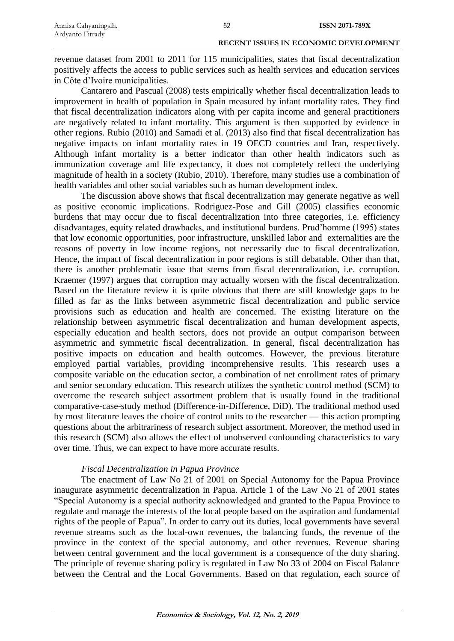revenue dataset from 2001 to 2011 for 115 municipalities, states that fiscal decentralization positively affects the access to public services such as health services and education services in Côte d'Ivoire municipalities.

Cantarero and Pascual (2008) tests empirically whether fiscal decentralization leads to improvement in health of population in Spain measured by infant mortality rates. They find that fiscal decentralization indicators along with per capita income and general practitioners are negatively related to infant mortality. This argument is then supported by evidence in other regions. Rubio (2010) and Samadi et al. (2013) also find that fiscal decentralization has negative impacts on infant mortality rates in 19 OECD countries and Iran, respectively. Although infant mortality is a better indicator than other health indicators such as immunization coverage and life expectancy, it does not completely reflect the underlying magnitude of health in a society (Rubio, 2010). Therefore, many studies use a combination of health variables and other social variables such as human development index.

The discussion above shows that fiscal decentralization may generate negative as well as positive economic implications. Rodriguez-Pose and Gill (2005) classifies economic burdens that may occur due to fiscal decentralization into three categories, i.e. efficiency disadvantages, equity related drawbacks, and institutional burdens. Prud'homme (1995) states that low economic opportunities, poor infrastructure, unskilled labor and externalities are the reasons of poverty in low income regions, not necessarily due to fiscal decentralization. Hence, the impact of fiscal decentralization in poor regions is still debatable. Other than that, there is another problematic issue that stems from fiscal decentralization, i.e. corruption. Kraemer (1997) argues that corruption may actually worsen with the fiscal decentralization. Based on the literature review it is quite obvious that there are still knowledge gaps to be filled as far as the links between asymmetric fiscal decentralization and public service provisions such as education and health are concerned. The existing literature on the relationship between asymmetric fiscal decentralization and human development aspects, especially education and health sectors, does not provide an output comparison between asymmetric and symmetric fiscal decentralization. In general, fiscal decentralization has positive impacts on education and health outcomes. However, the previous literature employed partial variables, providing incomprehensive results. This research uses a composite variable on the education sector, a combination of net enrollment rates of primary and senior secondary education. This research utilizes the synthetic control method (SCM) to overcome the research subject assortment problem that is usually found in the traditional comparative-case-study method (Difference-in-Difference, DiD). The traditional method used by most literature leaves the choice of control units to the researcher — this action prompting questions about the arbitrariness of research subject assortment. Moreover, the method used in this research (SCM) also allows the effect of unobserved confounding characteristics to vary over time. Thus, we can expect to have more accurate results.

# *Fiscal Decentralization in Papua Province*

The enactment of Law No 21 of 2001 on Special Autonomy for the Papua Province inaugurate asymmetric decentralization in Papua. Article 1 of the Law No 21 of 2001 states "Special Autonomy is a special authority acknowledged and granted to the Papua Province to regulate and manage the interests of the local people based on the aspiration and fundamental rights of the people of Papua". In order to carry out its duties, local governments have several revenue streams such as the local-own revenues, the balancing funds, the revenue of the province in the context of the special autonomy, and other revenues. Revenue sharing between central government and the local government is a consequence of the duty sharing. The principle of revenue sharing policy is regulated in Law No 33 of 2004 on Fiscal Balance between the Central and the Local Governments. Based on that regulation, each source of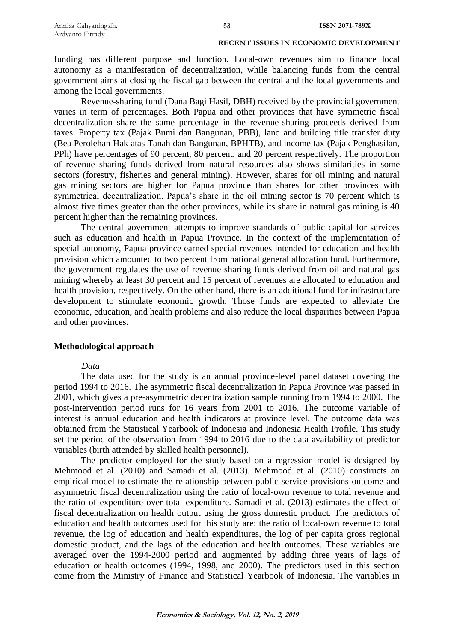funding has different purpose and function. Local-own revenues aim to finance local autonomy as a manifestation of decentralization, while balancing funds from the central government aims at closing the fiscal gap between the central and the local governments and among the local governments.

Revenue-sharing fund (Dana Bagi Hasil, DBH) received by the provincial government varies in term of percentages. Both Papua and other provinces that have symmetric fiscal decentralization share the same percentage in the revenue-sharing proceeds derived from taxes. Property tax (Pajak Bumi dan Bangunan, PBB), land and building title transfer duty (Bea Perolehan Hak atas Tanah dan Bangunan, BPHTB), and income tax (Pajak Penghasilan, PPh) have percentages of 90 percent, 80 percent, and 20 percent respectively. The proportion of revenue sharing funds derived from natural resources also shows similarities in some sectors (forestry, fisheries and general mining). However, shares for oil mining and natural gas mining sectors are higher for Papua province than shares for other provinces with symmetrical decentralization. Papua's share in the oil mining sector is 70 percent which is almost five times greater than the other provinces, while its share in natural gas mining is 40 percent higher than the remaining provinces.

The central government attempts to improve standards of public capital for services such as education and health in Papua Province. In the context of the implementation of special autonomy, Papua province earned special revenues intended for education and health provision which amounted to two percent from national general allocation fund. Furthermore, the government regulates the use of revenue sharing funds derived from oil and natural gas mining whereby at least 30 percent and 15 percent of revenues are allocated to education and health provision, respectively. On the other hand, there is an additional fund for infrastructure development to stimulate economic growth. Those funds are expected to alleviate the economic, education, and health problems and also reduce the local disparities between Papua and other provinces.

# **Methodological approach**

### *Data*

The data used for the study is an annual province-level panel dataset covering the period 1994 to 2016. The asymmetric fiscal decentralization in Papua Province was passed in 2001, which gives a pre-asymmetric decentralization sample running from 1994 to 2000. The post-intervention period runs for 16 years from 2001 to 2016. The outcome variable of interest is annual education and health indicators at province level. The outcome data was obtained from the Statistical Yearbook of Indonesia and Indonesia Health Profile. This study set the period of the observation from 1994 to 2016 due to the data availability of predictor variables (birth attended by skilled health personnel).

The predictor employed for the study based on a regression model is designed by Mehmood et al. (2010) and Samadi et al. (2013). Mehmood et al. (2010) constructs an empirical model to estimate the relationship between public service provisions outcome and asymmetric fiscal decentralization using the ratio of local-own revenue to total revenue and the ratio of expenditure over total expenditure. Samadi et al. (2013) estimates the effect of fiscal decentralization on health output using the gross domestic product. The predictors of education and health outcomes used for this study are: the ratio of local-own revenue to total revenue, the log of education and health expenditures, the log of per capita gross regional domestic product, and the lags of the education and health outcomes. These variables are averaged over the 1994-2000 period and augmented by adding three years of lags of education or health outcomes (1994, 1998, and 2000). The predictors used in this section come from the Ministry of Finance and Statistical Yearbook of Indonesia. The variables in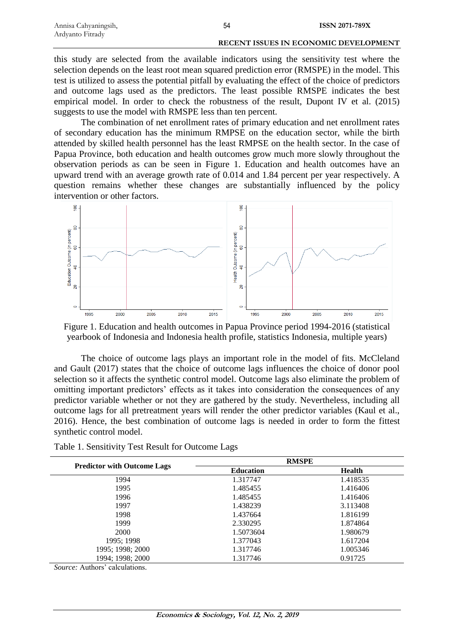| Annisa Cahyaningsih, | 54 | <b>ISSN 2071-789X</b>                        |
|----------------------|----|----------------------------------------------|
| Ardyanto Fitrady     |    |                                              |
|                      |    | <b>RECENT ISSUES IN ECONOMIC DEVELOPMENT</b> |

this study are selected from the available indicators using the sensitivity test where the selection depends on the least root mean squared prediction error (RMSPE) in the model. This test is utilized to assess the potential pitfall by evaluating the effect of the choice of predictors and outcome lags used as the predictors. The least possible RMSPE indicates the best empirical model. In order to check the robustness of the result, Dupont IV et al. (2015) suggests to use the model with RMSPE less than ten percent.

The combination of net enrollment rates of primary education and net enrollment rates of secondary education has the minimum RMPSE on the education sector, while the birth attended by skilled health personnel has the least RMPSE on the health sector. In the case of Papua Province, both education and health outcomes grow much more slowly throughout the observation periods as can be seen in Figure 1. Education and health outcomes have an upward trend with an average growth rate of 0.014 and 1.84 percent per year respectively. A question remains whether these changes are substantially influenced by the policy intervention or other factors.



Figure 1. Education and health outcomes in Papua Province period 1994-2016 (statistical yearbook of Indonesia and Indonesia health profile, statistics Indonesia, multiple years)

The choice of outcome lags plays an important role in the model of fits. McCleland and Gault (2017) states that the choice of outcome lags influences the choice of donor pool selection so it affects the synthetic control model. Outcome lags also eliminate the problem of omitting important predictors' effects as it takes into consideration the consequences of any predictor variable whether or not they are gathered by the study. Nevertheless, including all outcome lags for all pretreatment years will render the other predictor variables (Kaul et al., 2016). Hence, the best combination of outcome lags is needed in order to form the fittest synthetic control model.

|                                    | <b>RMSPE</b>     |          |
|------------------------------------|------------------|----------|
| <b>Predictor with Outcome Lags</b> | <b>Education</b> | Health   |
| 1994                               | 1.317747         | 1.418535 |
| 1995                               | 1.485455         | 1.416406 |
| 1996                               | 1.485455         | 1.416406 |
| 1997                               | 1.438239         | 3.113408 |
| 1998                               | 1.437664         | 1.816199 |
| 1999                               | 2.330295         | 1.874864 |
| 2000                               | 1.5073604        | 1.980679 |
| 1995; 1998                         | 1.377043         | 1.617204 |
| 1995; 1998; 2000                   | 1.317746         | 1.005346 |
| 1994; 1998; 2000                   | 1.317746         | 0.91725  |

Table 1. Sensitivity Test Result for Outcome Lags

*Source:* Authors' calculations.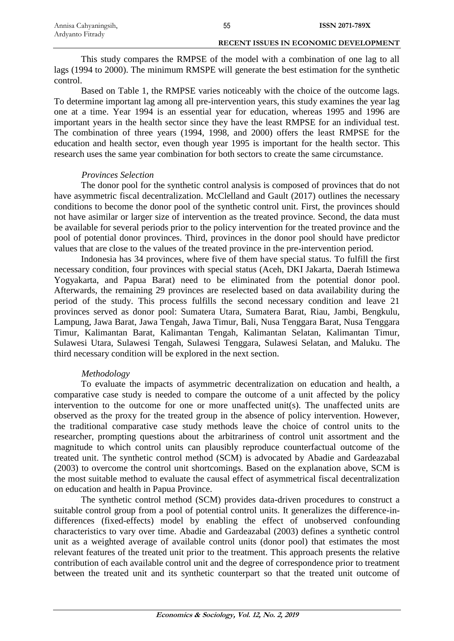This study compares the RMPSE of the model with a combination of one lag to all lags (1994 to 2000). The minimum RMSPE will generate the best estimation for the synthetic control.

Based on Table 1, the RMPSE varies noticeably with the choice of the outcome lags. To determine important lag among all pre-intervention years, this study examines the year lag one at a time. Year 1994 is an essential year for education, whereas 1995 and 1996 are important years in the health sector since they have the least RMPSE for an individual test. The combination of three years (1994, 1998, and 2000) offers the least RMPSE for the education and health sector, even though year 1995 is important for the health sector. This research uses the same year combination for both sectors to create the same circumstance.

# *Provinces Selection*

The donor pool for the synthetic control analysis is composed of provinces that do not have asymmetric fiscal decentralization. McClelland and Gault (2017) outlines the necessary conditions to become the donor pool of the synthetic control unit. First, the provinces should not have asimilar or larger size of intervention as the treated province. Second, the data must be available for several periods prior to the policy intervention for the treated province and the pool of potential donor provinces. Third, provinces in the donor pool should have predictor values that are close to the values of the treated province in the pre-intervention period.

Indonesia has 34 provinces, where five of them have special status. To fulfill the first necessary condition, four provinces with special status (Aceh, DKI Jakarta, Daerah Istimewa Yogyakarta, and Papua Barat) need to be eliminated from the potential donor pool. Afterwards, the remaining 29 provinces are reselected based on data availability during the period of the study. This process fulfills the second necessary condition and leave 21 provinces served as donor pool: Sumatera Utara, Sumatera Barat, Riau, Jambi, Bengkulu, Lampung, Jawa Barat, Jawa Tengah, Jawa Timur, Bali, Nusa Tenggara Barat, Nusa Tenggara Timur, Kalimantan Barat, Kalimantan Tengah, Kalimantan Selatan, Kalimantan Timur, Sulawesi Utara, Sulawesi Tengah, Sulawesi Tenggara, Sulawesi Selatan, and Maluku. The third necessary condition will be explored in the next section.

# *Methodology*

To evaluate the impacts of asymmetric decentralization on education and health, a comparative case study is needed to compare the outcome of a unit affected by the policy intervention to the outcome for one or more unaffected unit(s). The unaffected units are observed as the proxy for the treated group in the absence of policy intervention. However, the traditional comparative case study methods leave the choice of control units to the researcher, prompting questions about the arbitrariness of control unit assortment and the magnitude to which control units can plausibly reproduce counterfactual outcome of the treated unit. The synthetic control method (SCM) is advocated by Abadie and Gardeazabal (2003) to overcome the control unit shortcomings. Based on the explanation above, SCM is the most suitable method to evaluate the causal effect of asymmetrical fiscal decentralization on education and health in Papua Province.

The synthetic control method (SCM) provides data-driven procedures to construct a suitable control group from a pool of potential control units. It generalizes the difference-indifferences (fixed-effects) model by enabling the effect of unobserved confounding characteristics to vary over time. Abadie and Gardeazabal (2003) defines a synthetic control unit as a weighted average of available control units (donor pool) that estimates the most relevant features of the treated unit prior to the treatment. This approach presents the relative contribution of each available control unit and the degree of correspondence prior to treatment between the treated unit and its synthetic counterpart so that the treated unit outcome of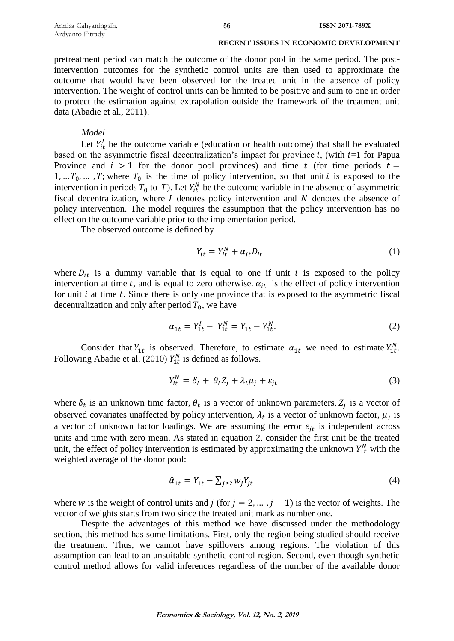pretreatment period can match the outcome of the donor pool in the same period. The postintervention outcomes for the synthetic control units are then used to approximate the outcome that would have been observed for the treated unit in the absence of policy intervention. The weight of control units can be limited to be positive and sum to one in order to protect the estimation against extrapolation outside the framework of the treatment unit data (Abadie et al., 2011).

## *Model*

Let  $Y_{it}^l$  be the outcome variable (education or health outcome) that shall be evaluated based on the asymmetric fiscal decentralization's impact for province i, (with  $i=1$  for Papua Province and  $i > 1$  for the donor pool provinces) and time t (for time periods  $t =$ 1, ...  $T_0$ , ...,  $T$ ; where  $T_0$  is the time of policy intervention, so that unit *i* is exposed to the intervention in periods  $T_0$  to T). Let  $Y_{it}^N$  be the outcome variable in the absence of asymmetric fiscal decentralization, where  $I$  denotes policy intervention and  $N$  denotes the absence of policy intervention. The model requires the assumption that the policy intervention has no effect on the outcome variable prior to the implementation period.

The observed outcome is defined by

$$
Y_{it} = Y_{it}^N + \alpha_{it} D_{it} \tag{1}
$$

where  $D_{it}$  is a dummy variable that is equal to one if unit *i* is exposed to the policy intervention at time t, and is equal to zero otherwise.  $\alpha_{it}$  is the effect of policy intervention for unit  $i$  at time  $t$ . Since there is only one province that is exposed to the asymmetric fiscal decentralization and only after period  $T_0$ , we have

$$
\alpha_{1t} = Y_{1t}^I - Y_{1t}^N = Y_{1t} - Y_{1t}^N. \tag{2}
$$

Consider that  $Y_{1t}$  is observed. Therefore, to estimate  $\alpha_{1t}$  we need to estimate  $Y_{1t}^{N}$ . Following Abadie et al. (2010)  $Y_{1t}^{N}$  is defined as follows.

$$
Y_{it}^{N} = \delta_t + \theta_t Z_j + \lambda_t \mu_j + \varepsilon_{jt}
$$
\n(3)

where  $\delta_t$  is an unknown time factor,  $\theta_t$  is a vector of unknown parameters,  $Z_j$  is a vector of observed covariates unaffected by policy intervention,  $\lambda_t$  is a vector of unknown factor,  $\mu_j$  is a vector of unknown factor loadings. We are assuming the error  $\varepsilon_{it}$  is independent across units and time with zero mean. As stated in equation 2, consider the first unit be the treated unit, the effect of policy intervention is estimated by approximating the unknown  $Y_{1t}^{N}$  with the weighted average of the donor pool:

$$
\hat{\alpha}_{1t} = Y_{1t} - \sum_{j \ge 2} w_j Y_{jt} \tag{4}
$$

where w is the weight of control units and  $j$  (for  $j = 2, \dots, j + 1$ ) is the vector of weights. The vector of weights starts from two since the treated unit mark as number one.

Despite the advantages of this method we have discussed under the methodology section, this method has some limitations. First, only the region being studied should receive the treatment. Thus, we cannot have spillovers among regions. The violation of this assumption can lead to an unsuitable synthetic control region. Second, even though synthetic control method allows for valid inferences regardless of the number of the available donor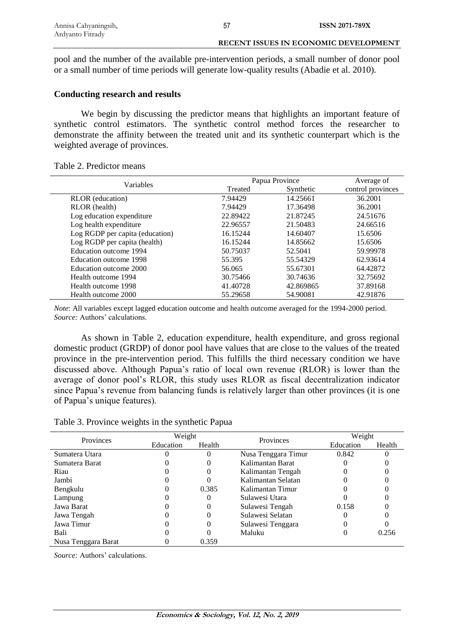pool and the number of the available pre-intervention periods, a small number of donor pool or a small number of time periods will generate low-quality results (Abadie et al. 2010).

# **Conducting research and results**

We begin by discussing the predictor means that highlights an important feature of synthetic control estimators. The synthetic control method forces the researcher to demonstrate the affinity between the treated unit and its synthetic counterpart which is the weighted average of provinces.

|  | Table 2. Predictor means |  |
|--|--------------------------|--|
|--|--------------------------|--|

| Variables                       |          | Papua Province |                   |
|---------------------------------|----------|----------------|-------------------|
|                                 | Treated  | Synthetic      | control provinces |
| <b>RLOR</b> (education)         | 7.94429  | 14.25661       | 36.2001           |
| RLOR (health)                   | 7.94429  | 17.36498       | 36.2001           |
| Log education expenditure       | 22.89422 | 21.87245       | 24.51676          |
| Log health expenditure          | 22.96557 | 21.50483       | 24.66516          |
| Log RGDP per capita (education) | 16.15244 | 14.60407       | 15.6506           |
| Log RGDP per capita (health)    | 16.15244 | 14.85662       | 15.6506           |
| Education outcome 1994          | 50.75037 | 52.5041        | 59.99978          |
| Education outcome 1998          | 55.395   | 55.54329       | 62.93614          |
| Education outcome 2000          | 56.065   | 55.67301       | 64.42872          |
| Health outcome 1994             | 30.75466 | 30.74636       | 32.75692          |
| Health outcome 1998             | 41.40728 | 42.869865      | 37.89168          |
| Health outcome 2000             | 55.29658 | 54.90081       | 42.91876          |

*Note*: All variables except lagged education outcome and health outcome averaged for the 1994-2000 period. *Source:* Authors' calculations.

As shown in Table 2, education expenditure, health expenditure, and gross regional domestic product (GRDP) of donor pool have values that are close to the values of the treated province in the pre-intervention period. This fulfills the third necessary condition we have discussed above. Although Papua's ratio of local own revenue (RLOR) is lower than the average of donor pool's RLOR, this study uses RLOR as fiscal decentralization indicator since Papua's revenue from balancing funds is relatively larger than other provinces (it is one of Papua's unique features).

| Table 3. Province weights in the synthetic Papua |  |  |
|--------------------------------------------------|--|--|
|                                                  |  |  |

| Provinces           | Weight    |        | Provinces           | Weight    |        |
|---------------------|-----------|--------|---------------------|-----------|--------|
|                     | Education | Health |                     | Education | Health |
| Sumatera Utara      |           |        | Nusa Tenggara Timur | 0.842     |        |
| Sumatera Barat      |           |        | Kalimantan Barat    |           |        |
| Riau                |           |        | Kalimantan Tengah   |           |        |
| Jambi               |           |        | Kalimantan Selatan  |           |        |
| Bengkulu            |           | 0.385  | Kalimantan Timur    |           |        |
| Lampung             |           |        | Sulawesi Utara      |           |        |
| Jawa Barat          |           |        | Sulawesi Tengah     | 0.158     |        |
| Jawa Tengah         |           |        | Sulawesi Selatan    |           |        |
| Jawa Timur          |           |        | Sulawesi Tenggara   |           |        |
| Bali                |           |        | Maluku              |           | 0.256  |
| Nusa Tenggara Barat |           | 0.359  |                     |           |        |

*Source:* Authors' calculations.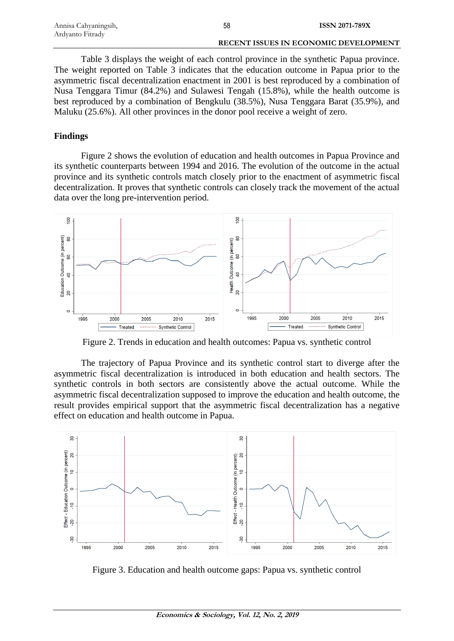| Annisa Cahyaningsih, | 58 | <b>ISSN 2071-789X</b>                        |
|----------------------|----|----------------------------------------------|
| Ardyanto Fitrady     |    |                                              |
|                      |    | <b>RECENT ISSUES IN ECONOMIC DEVELOPMENT</b> |

Table 3 displays the weight of each control province in the synthetic Papua province. The weight reported on Table 3 indicates that the education outcome in Papua prior to the asymmetric fiscal decentralization enactment in 2001 is best reproduced by a combination of Nusa Tenggara Timur (84.2%) and Sulawesi Tengah (15.8%), while the health outcome is best reproduced by a combination of Bengkulu (38.5%), Nusa Tenggara Barat (35.9%), and Maluku (25.6%). All other provinces in the donor pool receive a weight of zero.

# **Findings**

Figure 2 shows the evolution of education and health outcomes in Papua Province and its synthetic counterparts between 1994 and 2016. The evolution of the outcome in the actual province and its synthetic controls match closely prior to the enactment of asymmetric fiscal decentralization. It proves that synthetic controls can closely track the movement of the actual data over the long pre-intervention period.



Figure 2. Trends in education and health outcomes: Papua vs. synthetic control

The trajectory of Papua Province and its synthetic control start to diverge after the asymmetric fiscal decentralization is introduced in both education and health sectors. The synthetic controls in both sectors are consistently above the actual outcome. While the asymmetric fiscal decentralization supposed to improve the education and health outcome, the result provides empirical support that the asymmetric fiscal decentralization has a negative effect on education and health outcome in Papua.



Figure 3. Education and health outcome gaps: Papua vs. synthetic control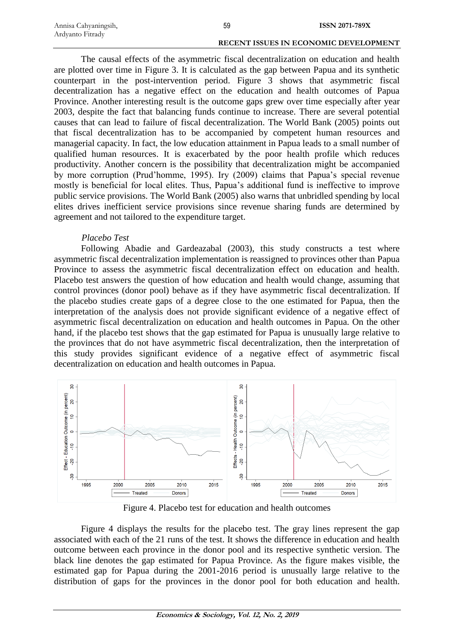| Annisa Cahyaningsih, | 59 | <b>ISSN 2071-789X</b>                        |
|----------------------|----|----------------------------------------------|
| Ardyanto Fitrady     |    |                                              |
|                      |    | <b>RECENT ISSUES IN ECONOMIC DEVELOPMENT</b> |

The causal effects of the asymmetric fiscal decentralization on education and health are plotted over time in Figure 3. It is calculated as the gap between Papua and its synthetic counterpart in the post-intervention period. Figure 3 shows that asymmetric fiscal decentralization has a negative effect on the education and health outcomes of Papua Province. Another interesting result is the outcome gaps grew over time especially after year 2003, despite the fact that balancing funds continue to increase. There are several potential causes that can lead to failure of fiscal decentralization. The World Bank (2005) points out that fiscal decentralization has to be accompanied by competent human resources and managerial capacity. In fact, the low education attainment in Papua leads to a small number of qualified human resources. It is exacerbated by the poor health profile which reduces productivity. Another concern is the possibility that decentralization might be accompanied by more corruption (Prud'homme, 1995). Iry (2009) claims that Papua's special revenue mostly is beneficial for local elites. Thus, Papua's additional fund is ineffective to improve public service provisions. The World Bank (2005) also warns that unbridled spending by local elites drives inefficient service provisions since revenue sharing funds are determined by agreement and not tailored to the expenditure target.

# *Placebo Test*

Following Abadie and Gardeazabal (2003), this study constructs a test where asymmetric fiscal decentralization implementation is reassigned to provinces other than Papua Province to assess the asymmetric fiscal decentralization effect on education and health. Placebo test answers the question of how education and health would change, assuming that control provinces (donor pool) behave as if they have asymmetric fiscal decentralization. If the placebo studies create gaps of a degree close to the one estimated for Papua, then the interpretation of the analysis does not provide significant evidence of a negative effect of asymmetric fiscal decentralization on education and health outcomes in Papua. On the other hand, if the placebo test shows that the gap estimated for Papua is unusually large relative to the provinces that do not have asymmetric fiscal decentralization, then the interpretation of this study provides significant evidence of a negative effect of asymmetric fiscal decentralization on education and health outcomes in Papua.



Figure 4. Placebo test for education and health outcomes

Figure 4 displays the results for the placebo test. The gray lines represent the gap associated with each of the 21 runs of the test. It shows the difference in education and health outcome between each province in the donor pool and its respective synthetic version. The black line denotes the gap estimated for Papua Province. As the figure makes visible, the estimated gap for Papua during the 2001-2016 period is unusually large relative to the distribution of gaps for the provinces in the donor pool for both education and health.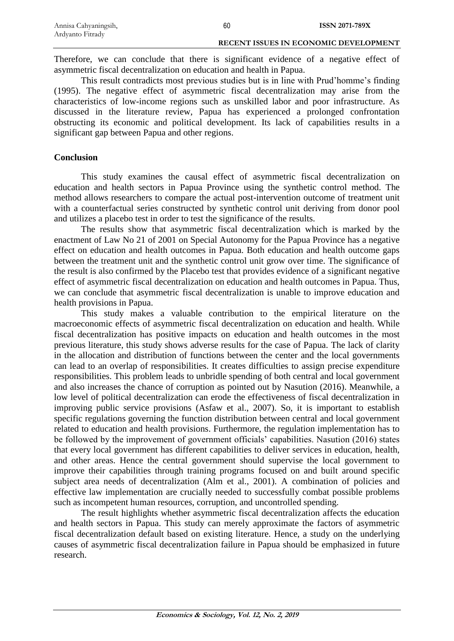Therefore, we can conclude that there is significant evidence of a negative effect of asymmetric fiscal decentralization on education and health in Papua.

This result contradicts most previous studies but is in line with Prud'homme's finding (1995). The negative effect of asymmetric fiscal decentralization may arise from the characteristics of low-income regions such as unskilled labor and poor infrastructure. As discussed in the literature review, Papua has experienced a prolonged confrontation obstructing its economic and political development. Its lack of capabilities results in a significant gap between Papua and other regions.

# **Conclusion**

This study examines the causal effect of asymmetric fiscal decentralization on education and health sectors in Papua Province using the synthetic control method. The method allows researchers to compare the actual post-intervention outcome of treatment unit with a counterfactual series constructed by synthetic control unit deriving from donor pool and utilizes a placebo test in order to test the significance of the results.

The results show that asymmetric fiscal decentralization which is marked by the enactment of Law No 21 of 2001 on Special Autonomy for the Papua Province has a negative effect on education and health outcomes in Papua. Both education and health outcome gaps between the treatment unit and the synthetic control unit grow over time. The significance of the result is also confirmed by the Placebo test that provides evidence of a significant negative effect of asymmetric fiscal decentralization on education and health outcomes in Papua. Thus, we can conclude that asymmetric fiscal decentralization is unable to improve education and health provisions in Papua.

This study makes a valuable contribution to the empirical literature on the macroeconomic effects of asymmetric fiscal decentralization on education and health. While fiscal decentralization has positive impacts on education and health outcomes in the most previous literature, this study shows adverse results for the case of Papua. The lack of clarity in the allocation and distribution of functions between the center and the local governments can lead to an overlap of responsibilities. It creates difficulties to assign precise expenditure responsibilities. This problem leads to unbridle spending of both central and local government and also increases the chance of corruption as pointed out by Nasution (2016). Meanwhile, a low level of political decentralization can erode the effectiveness of fiscal decentralization in improving public service provisions (Asfaw et al., 2007). So, it is important to establish specific regulations governing the function distribution between central and local government related to education and health provisions. Furthermore, the regulation implementation has to be followed by the improvement of government officials' capabilities. Nasution (2016) states that every local government has different capabilities to deliver services in education, health, and other areas. Hence the central government should supervise the local government to improve their capabilities through training programs focused on and built around specific subject area needs of decentralization (Alm et al., 2001). A combination of policies and effective law implementation are crucially needed to successfully combat possible problems such as incompetent human resources, corruption, and uncontrolled spending.

The result highlights whether asymmetric fiscal decentralization affects the education and health sectors in Papua. This study can merely approximate the factors of asymmetric fiscal decentralization default based on existing literature. Hence, a study on the underlying causes of asymmetric fiscal decentralization failure in Papua should be emphasized in future research.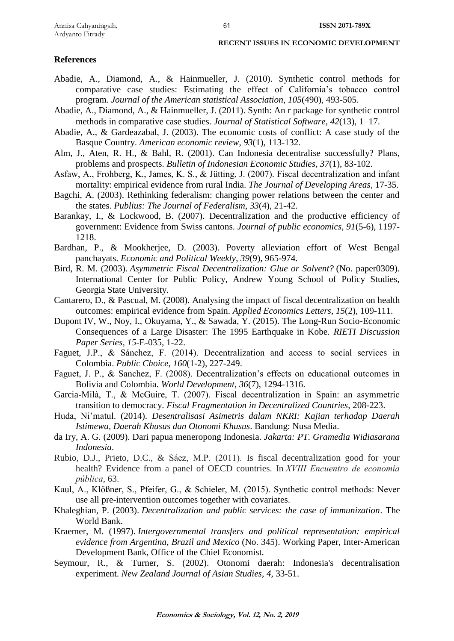# **References**

- Abadie, A., Diamond, A., & Hainmueller, J. (2010). Synthetic control methods for comparative case studies: Estimating the effect of California's tobacco control program. *Journal of the American statistical Association*, *105*(490), 493-505.
- Abadie, A., Diamond, A., & Hainmueller, J. (2011). Synth: An r package for synthetic control methods in comparative case studies. *Journal of Statistical Software*, 42(13), 1–17.
- Abadie, A., & Gardeazabal, J. (2003). The economic costs of conflict: A case study of the Basque Country. *American economic review*, *93*(1), 113-132.
- Alm, J., Aten, R. H., & Bahl, R. (2001). Can Indonesia decentralise successfully? Plans, problems and prospects. *Bulletin of Indonesian Economic Studies*, *37*(1), 83-102.
- Asfaw, A., Frohberg, K., James, K. S., & Jütting, J. (2007). Fiscal decentralization and infant mortality: empirical evidence from rural India. *The Journal of Developing Areas*, 17-35.
- Bagchi, A. (2003). Rethinking federalism: changing power relations between the center and the states. *Publius: The Journal of Federalism*, *33*(4), 21-42.
- Barankay, I., & Lockwood, B. (2007). Decentralization and the productive efficiency of government: Evidence from Swiss cantons. *Journal of public economics*, *91*(5-6), 1197- 1218.
- Bardhan, P., & Mookherjee, D. (2003). Poverty alleviation effort of West Bengal panchayats. *Economic and Political Weekly*, *39*(9), 965-974.
- Bird, R. M. (2003). *Asymmetric Fiscal Decentralization: Glue or Solvent?* (No. paper0309). International Center for Public Policy, Andrew Young School of Policy Studies, Georgia State University.
- Cantarero, D., & Pascual, M. (2008). Analysing the impact of fiscal decentralization on health outcomes: empirical evidence from Spain. *Applied Economics Letters*, *15*(2), 109-111.
- Dupont IV, W., Noy, I., Okuyama, Y., & Sawada, Y. (2015). The Long-Run Socio-Economic Consequences of a Large Disaster: The 1995 Earthquake in Kobe. *RIETI Discussion Paper Series, 15*-E-035, 1-22.
- Faguet, J.P., & Sánchez, F. (2014). Decentralization and access to social services in Colombia. *Public Choice*, *160*(1-2), 227-249.
- Faguet, J. P., & Sanchez, F. (2008). Decentralization's effects on educational outcomes in Bolivia and Colombia. *World Development*, *36*(7), 1294-1316.
- Garcia-Milà, T., & McGuire, T. (2007). Fiscal decentralization in Spain: an asymmetric transition to democracy. *Fiscal Fragmentation in Decentralized Countries*, 208-223.
- Huda, Ni'matul. (2014). *Desentralisasi Asimetris dalam NKRI: Kajian terhadap Daerah Istimewa, Daerah Khusus dan Otonomi Khusus*. Bandung: Nusa Media.
- da Iry, A. G. (2009). Dari papua meneropong Indonesia. *Jakarta: PT. Gramedia Widiasarana Indonesia*.
- Rubio, D.J., Prieto, D.C., & Sáez, M.P. (2011). Is fiscal decentralization good for your health? Evidence from a panel of OECD countries. In *XVIII Encuentro de economía pública*, 63.
- Kaul, A., Klößner, S., Pfeifer, G., & Schieler, M. (2015). Synthetic control methods: Never use all pre-intervention outcomes together with covariates.
- Khaleghian, P. (2003). *Decentralization and public services: the case of immunization*. The World Bank.
- Kraemer, M. (1997). *Intergovernmental transfers and political representation: empirical evidence from Argentina, Brazil and Mexico* (No. 345). Working Paper, Inter-American Development Bank, Office of the Chief Economist.
- Seymour, R., & Turner, S. (2002). Otonomi daerah: Indonesia's decentralisation experiment. *New Zealand Journal of Asian Studies*, *4*, 33-51.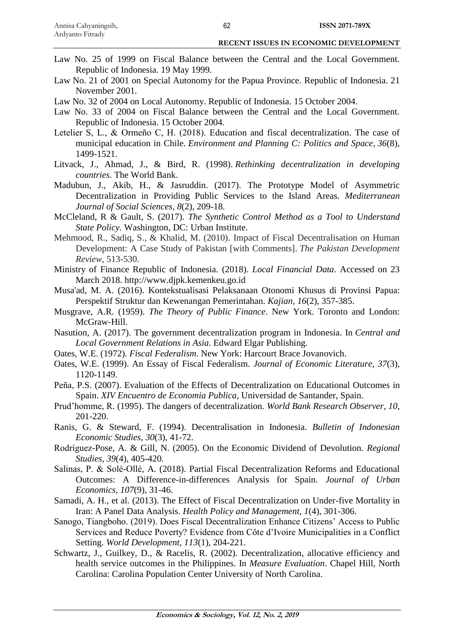- Law No. 25 of 1999 on Fiscal Balance between the Central and the Local Government. Republic of Indonesia. 19 May 1999.
- Law No. 21 of 2001 on Special Autonomy for the Papua Province. Republic of Indonesia. 21 November 2001.
- Law No. 32 of 2004 on Local Autonomy. Republic of Indonesia. 15 October 2004.
- Law No. 33 of 2004 on Fiscal Balance between the Central and the Local Government. Republic of Indonesia. 15 October 2004.
- Letelier S, L., & Ormeño C, H. (2018). Education and fiscal decentralization. The case of municipal education in Chile. *Environment and Planning C: Politics and Space*, *36*(8), 1499-1521.
- Litvack, J., Ahmad, J., & Bird, R. (1998). *Rethinking decentralization in developing countries*. The World Bank.
- Madubun, J., Akib, H., & Jasruddin. (2017). The Prototype Model of Asymmetric Decentralization in Providing Public Services to the Island Areas. *Mediterranean Journal of Social Sciences, 8*(2), 209-18.
- McCleland, R & Gault, S. (2017). *The Synthetic Control Method as a Tool to Understand State Policy.* Washington, DC: Urban Institute.
- Mehmood, R., Sadiq, S., & Khalid, M. (2010). Impact of Fiscal Decentralisation on Human Development: A Case Study of Pakistan [with Comments]. *The Pakistan Development Review*, 513-530.
- Ministry of Finance Republic of Indonesia. (2018). *Local Financial Data*. Accessed on 23 March 2018. [http://www.djpk.kemenkeu.go.id](http://www.djpk.kemenkeu.go.id/)
- Musa'ad, M. A. (2016). Kontekstualisasi Pelaksanaan Otonomi Khusus di Provinsi Papua: Perspektif Struktur dan Kewenangan Pemerintahan. *Kajian*, *16*(2), 357-385.
- Musgrave, A.R. (1959). *The Theory of Public Finance*. New York. Toronto and London: McGraw-Hill.
- Nasution, A. (2017). The government decentralization program in Indonesia. In *Central and Local Government Relations in Asia*. Edward Elgar Publishing.
- Oates, W.E. (1972). *Fiscal Federalism*. New York: Harcourt Brace Jovanovich.
- Oates, W.E. (1999). An Essay of Fiscal Federalism. *Journal of Economic Literature*, *37*(3), 1120-1149.
- Peña, P.S. (2007). Evaluation of the Effects of Decentralization on Educational Outcomes in Spain. *XIV Encuentro de Economia Publica,* Universidad de Santander, Spain.
- Prud'homme, R. (1995). The dangers of decentralization. *World Bank Research Observer*, *10*, 201-220.
- Ranis, G. & Steward, F. (1994). Decentralisation in Indonesia. *Bulletin of Indonesian Economic Studies*, *30*(3), 41-72.
- Rodríguez-Pose, A. & Gill, N. (2005). On the Economic Dividend of Devolution. *Regional Studies, 39*(4), 405-420.
- Salinas, P. & Solé-Ollé, A. (2018). Partial Fiscal Decentralization Reforms and Educational Outcomes: A Difference-in-differences Analysis for Spain. *Journal of Urban Economics*, *107*(9), 31-46.
- Samadi, A. H., et al. (2013). The Effect of Fiscal Decentralization on Under-five Mortality in Iran: A Panel Data Analysis. *Health Policy and Management*, *1*(4), 301-306.
- Sanogo, Tiangboho. (2019). Does Fiscal Decentralization Enhance Citizens' Access to Public Services and Reduce Poverty? Evidence from Côte d'Ivoire Municipalities in a Conflict Setting. *World Development, 113*(1), 204-221.
- Schwartz, J., Guilkey, D., & Racelis, R. (2002). Decentralization, allocative efficiency and health service outcomes in the Philippines. In *Measure Evaluation*. Chapel Hill, North Carolina: Carolina Population Center University of North Carolina.